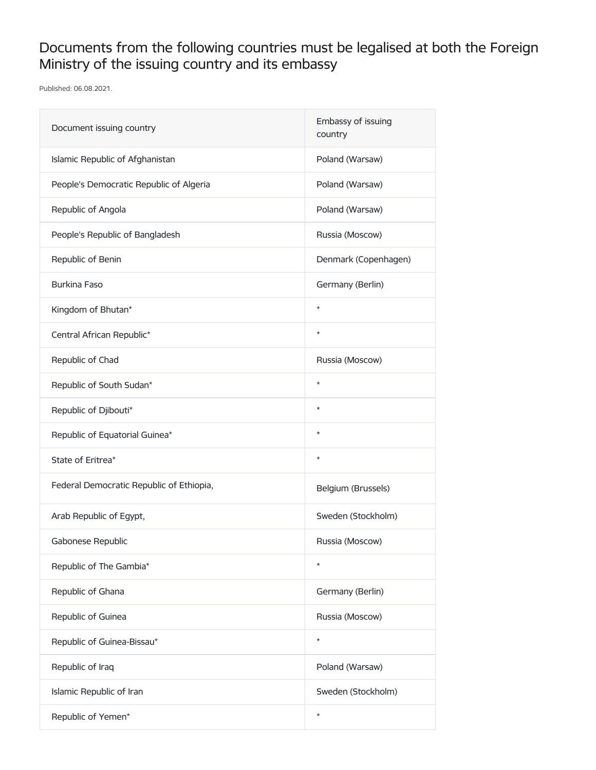## Documents from the following countries must be legalised at both the Foreign Ministry of the issuing country and its embassy

Published: 06.08.2021.

| Document issuing country                 | Embassy of issuing<br>country |
|------------------------------------------|-------------------------------|
| Islamic Republic of Afghanistan          | Poland (Warsaw)               |
| People's Democratic Republic of Algeria  | Poland (Warsaw)               |
| Republic of Angola                       | Poland (Warsaw)               |
| People's Republic of Bangladesh          | Russia (Moscow)               |
| Republic of Benin                        | Denmark (Copenhagen)          |
| <b>Burkina Faso</b>                      | Germany (Berlin)              |
| Kingdom of Bhutan*                       | $\star$                       |
| Central African Republic*                | $\star$                       |
| Republic of Chad                         | Russia (Moscow)               |
| Republic of South Sudan*                 | $\star$                       |
| Republic of Djibouti*                    | $\star$                       |
| Republic of Equatorial Guinea*           | $\star$                       |
| State of Eritrea*                        | $\star$                       |
| Federal Democratic Republic of Ethiopia, | Belgium (Brussels)            |
| Arab Republic of Egypt,                  | Sweden (Stockholm)            |
| Gabonese Republic                        | Russia (Moscow)               |
| Republic of The Gambia*                  | $\star$                       |
| Republic of Ghana                        | Germany (Berlin)              |
| Republic of Guinea                       | Russia (Moscow)               |
| Republic of Guinea-Bissau*               | $\star$                       |
| Republic of Iraq                         | Poland (Warsaw)               |
| Islamic Republic of Iran                 | Sweden (Stockholm)            |
| Republic of Yemen*                       | $\star$                       |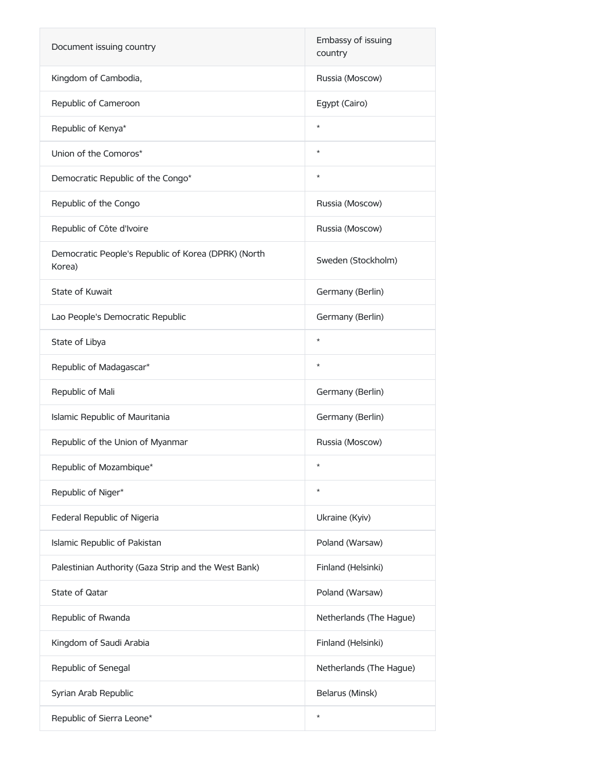| Document issuing country                                      | Embassy of issuing<br>country |
|---------------------------------------------------------------|-------------------------------|
| Kingdom of Cambodia,                                          | Russia (Moscow)               |
| Republic of Cameroon                                          | Egypt (Cairo)                 |
| Republic of Kenya*                                            | $\star$                       |
| Union of the Comoros*                                         | $\star$                       |
| Democratic Republic of the Congo*                             | $\star$                       |
| Republic of the Congo                                         | Russia (Moscow)               |
| Republic of Côte d'Ivoire                                     | Russia (Moscow)               |
| Democratic People's Republic of Korea (DPRK) (North<br>Korea) | Sweden (Stockholm)            |
| State of Kuwait                                               | Germany (Berlin)              |
| Lao People's Democratic Republic                              | Germany (Berlin)              |
| State of Libya                                                | $^{\star}$                    |
| Republic of Madagascar*                                       | $\star$                       |
|                                                               |                               |
| Republic of Mali                                              | Germany (Berlin)              |
| Islamic Republic of Mauritania                                | Germany (Berlin)              |
| Republic of the Union of Myanmar                              | Russia (Moscow)               |
| Republic of Mozambique*                                       | $\star$                       |
| Republic of Niger*                                            | $\star$                       |
| Federal Republic of Nigeria                                   | Ukraine (Kyiv)                |
| Islamic Republic of Pakistan                                  | Poland (Warsaw)               |
| Palestinian Authority (Gaza Strip and the West Bank)          | Finland (Helsinki)            |
| State of Qatar                                                | Poland (Warsaw)               |
| Republic of Rwanda                                            | Netherlands (The Hague)       |
| Kingdom of Saudi Arabia                                       | Finland (Helsinki)            |
| Republic of Senegal                                           | Netherlands (The Hague)       |
| Syrian Arab Republic                                          | Belarus (Minsk)               |